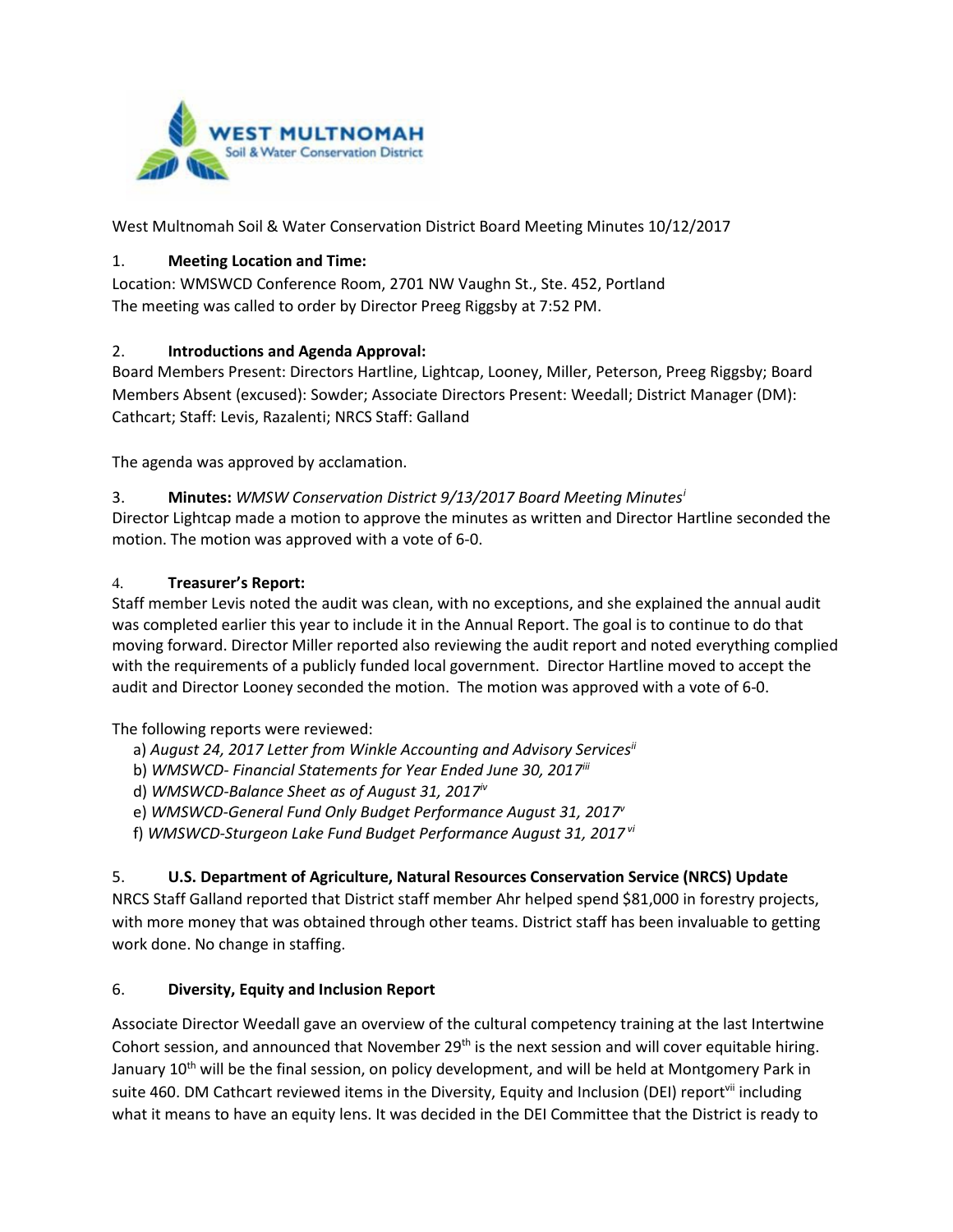

West Multnomah Soil & Water Conservation District Board Meeting Minutes 10/12/2017

### 1. **Meeting Location and Time:**

Location: WMSWCD Conference Room, 2701 NW Vaughn St., Ste. 452, Portland The meeting was called to order by Director Preeg Riggsby at 7:52 PM.

#### 2. **Introductions and Agenda Approval:**

Board Members Present: Directors Hartline, Lightcap, Looney, Miller, Peterson, Preeg Riggsby; Board Members Absent (excused): Sowder; Associate Directors Present: Weedall; District Manager (DM): Cathcart; Staff: Levis, Razalenti; NRCS Staff: Galland

The agenda was approved by acclamation.

#### 3. **Minutes:** *WMSW Conservation District 9/13/2017 Board Meeting Minutes[i](#page-1-0)* Director Lightcap made a motion to approve the minutes as written and Director Hartline seconded the

motion. The motion was approved with a vote of 6-0.

#### 4. **Treasurer's Report:**

Staff member Levis noted the audit was clean, with no exceptions, and she explained the annual audit was completed earlier this year to include it in the Annual Report. The goal is to continue to do that moving forward. Director Miller reported also reviewing the audit report and noted everything complied with the requirements of a publicly funded local government. Director Hartline moved to accept the audit and Director Looney seconded the motion. The motion was approved with a vote of 6-0.

The following reports were reviewed:

- a) *August 24, 2017 Letter from Winkle Accounting and Advisory Servicesii*
- b) WMSWCD- Financial Statements for Year Ended June 30, 2017<sup>iii</sup>
- d) *WMSWCD-Balance Sheet as of August 31, 2017iv*
- e) *WMSWCD-General Fund Only Budget Performance August 31, 2017v*
- f) *WMSWCD-Sturgeon Lake Fund Budget Performance August 31, 2017 vi*

## 5. **U.S. Department of Agriculture, Natural Resources Conservation Service (NRCS) Update**

NRCS Staff Galland reported that District staff member Ahr helped spend \$81,000 in forestry projects, with more money that was obtained through other teams. District staff has been invaluable to getting work done. No change in staffing.

#### 6. **Diversity, Equity and Inclusion Report**

Associate Director Weedall gave an overview of the cultural competency training at the last Intertwine Cohort session, and announced that November  $29<sup>th</sup>$  is the next session and will cover equitable hiring. January 10<sup>th</sup> will be the final session, on policy development, and will be held at Montgomery Park in suite 460. DM Cathcart reviewed items in the Diversity, Equity and Inclusion (DEI) report<sup>vii</sup> including what it means to have an equity lens. It was decided in the DEI Committee that the District is ready to